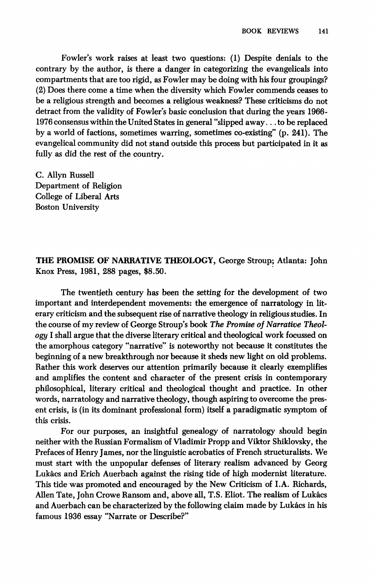Fowler's work raises at least two questions: (1) Despite denials to the contrary by the author, is there a danger in categorizing the evangelicals into compartments that are too rigid, as Fowler may be doing with his four groupings? (2) Does there come a time when the diversity which Fowler commends ceases to be a religious strength and becomes a religious weakness? These criticisms do not detract from the validity of Fowler's basic conclusion that during the years 1966- 1976 consensus within the United States in general "slipped away... to be replaced by a world of factions, sometimes warring, sometimes co-existing" (p. 241). The evangelical community did not stand outside this process but participated in it as fully as did the rest of the country.

C. Allyη Russell Department of Religion College of Liberal Arts Boston University

**THE PROMISE OF NARRATIVE THEOLOGY,** George Stroup; Atlanta: John Knox Press, 1981, 288 pages, \$8.50.

The twentieth century has been the setting for the development of two important and interdependent movements: the emergence of narratology in literary criticism and the subsequent rise of narrative theology in religious studies. In the course of my review of George Stroup's book *The Promise of Narrative Theology* I shall argue that the diverse literary critical and theological work focussed on the amorphous category "narrative" is noteworthy not because it constitutes the beginning of a new breakthrough nor because it sheds new light on old problems. Rather this work deserves our attention primarily because it clearly exemplifies and amplifies the content and character of the present crisis in contemporary philosophical, literary critical and theological thought and practice. In other words, narratology and narrative theology, though aspiring to overcome the present crisis, is (in its dominant professional form) itself a paradigmatic symptom of this crisis.

For our purposes, an insightful genealogy of narratology should begin neither with the Russian Formalism of Vladimir Propp and Viktor Shiklovsky, the Prefaces of Henry James, nor the linguistic acrobatics of French structuralists. We must start with the unpopular defenses of literary realism advanced by Georg Lukács and Erich Auerbach against the rising tide of high modernist literature. This tide was promoted and encouraged by the New Criticism of I.A. Richards, Allen Tate, John Crowe Ransom and, above all, T.S. Eliot. The realism of Lukács and Auerbach can be characterized by the following claim made by Lukács in his famous 1936 essay "Narrate or Describe?"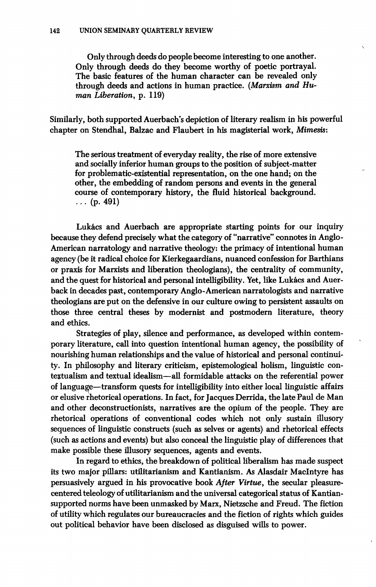**Only through deeds do people become interesting to one another. Only through deeds do they become worthy of poetic portrayal. The basic features of the human character can be revealed only through deeds and actions in human practice.** *(Marxism and Human Liberation,* **p. 119)** 

Similarly, both supported Auerbach's depiction of literary realism in his powerful **chapter on Stendhal, Ralzac and Flaubert in his magisterial work,** *Mimesis:* 

**The serious treatment of everyday reality, the rise of more extensive and socially inferior human groups to the position of subject-matter for problematic-existential representation, on the one hand; on the other, the embedding of random persons and events in the general course of contemporary history, the fluid historical background. . . . (p. 491)** 

**Lukács and Auerbach are appropriate starting points for our inquiry because they defend precisely what the category of "narrative" connotes in Anglo-American narratology and narrative theology: the primacy of intentional human agency (be it radical choice for Kierkegaardians, nuanced confession for Rarthians or praxis for Marxists and liberation theologians), the centrality of community, and the quest for historical and personal intelligibility. Yet, like Lukács and Auerback in decades past, contemporary Anglo-American narratologists and narrative theologians are put on the defensive in our culture owing to persistent assaults on those three central theses by modernist and postmodern literature, theory and ethics.** 

**Strategies of play, silence and performance, as developed within contemporary literature, call into question intentional human agency, the possibility of nourishing human relationships and the value of historical and personal continuity. In philosophy and literary criticism, epistemological holism, linguistic contextualism and textual idealism—all formidable attacks on the referential power of language—transform quests for intelligibility into either local linguistic affairs or elusive rhetorical operations. In fact, for Jacques Derrida, the late Paul de Man and other deconstructionists, narratives are the opium of the people. They are rhetorical operations of conventional codes which not only sustain illusory sequences of linguistic constructs (such as selves or agents) and rhetorical effects (such as actions and events) but also conceal the linguistic play of differences that make possible these illusory sequences, agents and events.** 

**In regard to ethics, the breakdown of political liberalism has made suspect its two major pillars: utilitarianism and Kantianism. As Alasdair Maclntyre has persuasively argued in his provocative book** *After Virtue,* **the secular pleasurecentered teleology of utilitarianism and the universal categorical status of Kantiansupported norms have been unmasked by Marx, Nietzsche and Freud. The fiction of utility which regulates our bureaucracies and the fiction of rights which guides out political behavior have been disclosed as disguised wills to power.**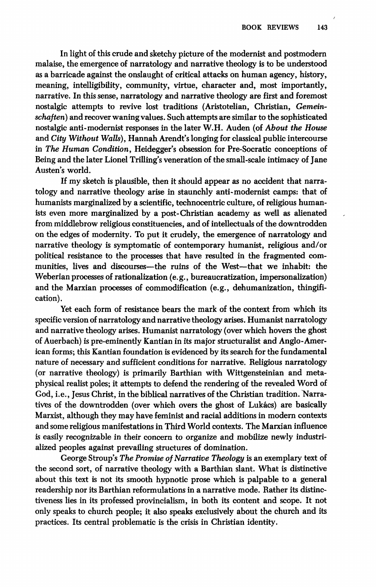In light of this crude and sketchy picture of the modernist and postmodern malaise, the emergence of narratology and narrative theology is to be understood as a barricade against the onslaught of critical attacks on human agency, history, meaning, intelligibility, community, virtue, character and, most importantly, narrative. In this sense, narratology and narrative theology are first and foremost nostalgic attempts to revive lost traditions (Aristotelian, Christian, *Gemeinschaften)* and recover waning values. Such attempts are similar to the sophisticated nostalgic anti-modernist responses in the later W.H. Auden (of *About the House*  and *City Without Walls),* Hannah Arendt's longing for classical public intercourse in *The Human Condition,* Heidegger's obsession for Pre-Socratic conceptions of Being and the later Lionel Trilling's veneration of the small-scale intimacy of Jane Austen's world.

If my sketch is plausible, then it should appear as no accident that narratology and narrative theology arise in staunchly anti-modernist camps: that of humanists marginalized by a scientific, technocentric culture, of religious humanists even more marginalized by a post-Christian academy as well as alienated from middlebrow religious constituencies, and of intellectuals of the downtrodden on the edges of modernity. To put it crudely, the emergence of narratology and narrative theology is symptomatic of contemporary humanist, religious and/or political resistance to the processes that have resulted in the fragmented communities, lives and discourses—the ruins of the West—that we inhabit: the Weberian processes of rationalization (e.g., bureaucratization, impersonalization) and the Marxian processes of commodification (e.g., dehumanization, thingification).

Yet each form of resistance bears the mark of the context from which its specific version of narratology and narrative theology arises. Humanist narratology and narrative theology arises. Humanist narratology (over which hovers the ghost of Auerbach) is pre-eminently Kantian in its major structuralist and Anglo-American forms; this Kantian foundation is evidenced by its search for the fundamental nature of necessary and sufficient conditions for narrative. Religious narratology (or narrative theology) is primarily Barthian with Wittgensteinian and metaphysical realist poles; it attempts to defend the rendering of the revealed Word of God, i.e., Jesus Christ, in the biblical narratives of the Christian tradition. Narratives of the downtrodden (over which overs the ghost of Lukács) are basically Marxist, although they may have feminist and racial additions in modern contexts and some religious manifestations in Third World contexts. The Marxian influence is easily recognizable in their concern to organize and mobilize newly industrialized peoples against prevailing structures of domination.

George Stroup's *The Promise of Narrative Theology* is an exemplary text of the second sort, of narrative theology with a Barthian slant. What is distinctive about this text is not its smooth hypnotic prose which is palpable to a general readership nor its Barthian reformulations in a narrative mode. Rather its distinctiveness lies in its professed provincialism, in both its content and scope. It not only speaks to church people; it also speaks exclusively about the church and its practices. Its central problematic is the crisis in Christian identity.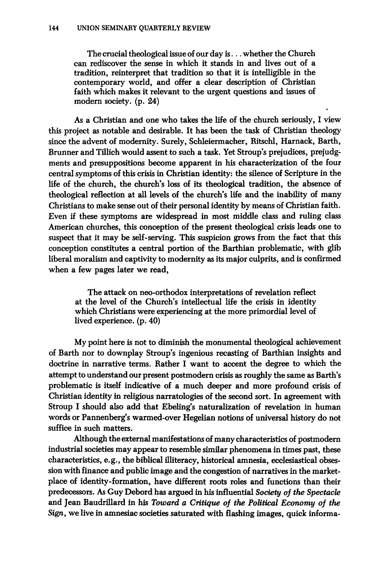**The crucial theological issue of our day is. .. whether the Church can rediscover the sense in which it stands in and lives out of a tradition, reinterpret that tradition so that it is intelligible in the contemporary world, and offer a clear description of Christian faith which makes it relevant to the urgent questions and issues of modern society, (p. 24)** 

**As a Christian and one who takes the life of the church seriously, I view this project as notable and desirable. It has been the task of Christian theology since the advent of modernity. Surely, Schleiermacher, Ritschi, Harnack, Barth, Brunner and Tillich would assent to such a task. Yet Stroup's prejudices, prejudgments and presuppositions become apparent in his characterization of the four central symptoms of this crisis in Christian identity: the silence of Scripture in the life of the church, the church's loss of its theological tradition, the absence of theological reflection at all levels of the church's life and the inability of many Christians to make sense out of their personal identity by means of Christian faith. Even if these symptoms are widespread in most middle class and ruling class American churches, this conception of the present theological crisis leads one to suspect that it may be self-serving. This suspicion grows from the fact that this conception constitutes a central portion of the Barthian problematic, with glib liberal moralism and captivity to modernity as its major culprits, and is confirmed when a few pages later we read,** 

**The attack on neo-orthodox interpretations of revelation reflect at the level of the Church's intellectual life the crisis in identity which Christians were experiencing at the more primordial level of lived experience, (p. 40)** 

**My point here is not to diminish the monumental theological achievement of Barth nor to downplay Stroup's ingenious recasting of Barthian insights and doctrine in narrative terms. Rather I want to accent the degree to which the attempt to understand our present postmodern crisis as roughly the same as Barth's problematic is itself indicative of a much deeper and more profound crisis of Christian identity in religious narratologies of the second sort. In agreement with Stroup I should also add that Ebeling's naturalization of revelation in human words or Pannenberg's warmed-over Hegelian notions of universal history do not suffice in such matters.** 

**Although the external manifestations of many characteristics of postmodern industrial societies may appear to resemble similar phenomena in times past, these characteristics, e.g., the biblical illiteracy, historical amnesia, ecclesiastical obsession with finance and public image and the congestion of narratives in the marketplace of identity-formation, have different roots roles and functions than their**  predecessors. As Guy Debord has argued in his influential *Society of the Spectacle* **and Jean Baudrillard in his** *Toward a Critique of the Political Economy of the Sign,* **we live in amnesiac societies saturated with flashing images, quick informa-**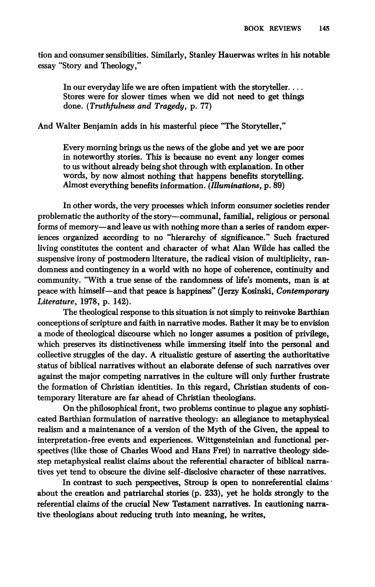**tion and consumer sensibilities. Similarly, Stanley Hauerwas writes in his notable essay "Story and Theology,"** 

**In our everyday life we are often impatient with the storyteller.... Stores were for slower times when we did not need to get things done.** *(Truthfulness and Tragedy,* **p. 77)** 

**And Walter Benjamin adds in his masterful piece "The Storyteller,"** 

**Every morning brings us the news of the globe and yet we are poor in noteworthy stories. This is because no event any longer comes to us without already being shot through with explanation. In other words, by now almost nothing that happens benefits storytelling. Almost everything benefits information.** *(Illuminations,* **p. 89)** 

**In other words, the very processes which inform consumer societies render problematic the authority of the story—communal, familial, religious or personal forms of memory—and leave us with nothing more than a series of random experiences organized according to no "hierarchy of significance." Such fractured living constitutes the content and character of what Alan Wilde has called the suspensive irony of postmodern literature, the radical vision of multiplicity, randomness and contingency in a world with no hope of coherence, continuity and community. "With a true sense of the randomness of life's moments, man is at peace with himself—and that peace is happiness" (Jerzy Kosinski,** *Contemporary Literature,* **1978, p. 142).** 

**The theological response to this situation is not simply to reinvoke Barthian conceptions of scripture and faith in narrative modes. Rather it may be to envision a mode of theological discourse which no longer assumes a position of privilege, which preserves its distinctiveness while immersing itself into the personal and collective struggles of the day. A ritualistic gesture of asserting the authoritative status of biblical narratives without an elaborate defense of such narratives over against the major competing narratives in the culture will only further frustrate the formation of Christian identities. In this regard, Christian students of contemporary literature are far ahead of Christian theologians.** 

**On the philosophical front, two problems continue to plague any sophisticated Barthian formulation of narrative theology: an allegiance to metaphysical realism and a maintenance of a version of the Myth of the Given, the appeal to interpretation-free events and experiences. Wittgensteinian and functional perspectives (like those of Charles Wood and Hans Frei) in narrative theology sidestep metaphysical realist claims about the referential character of biblical narratives yet tend to obscure the divine self-disclosive character of these narratives.** 

**In contrast to such perspectives, Stroup is open to nonreferential claims ' about the creation and patriarchal stories (p. 233), yet he holds strongly to the referential claims of the crucial New Testament narratives. In cautioning narrative theologians about reducing truth into meaning, he writes,**